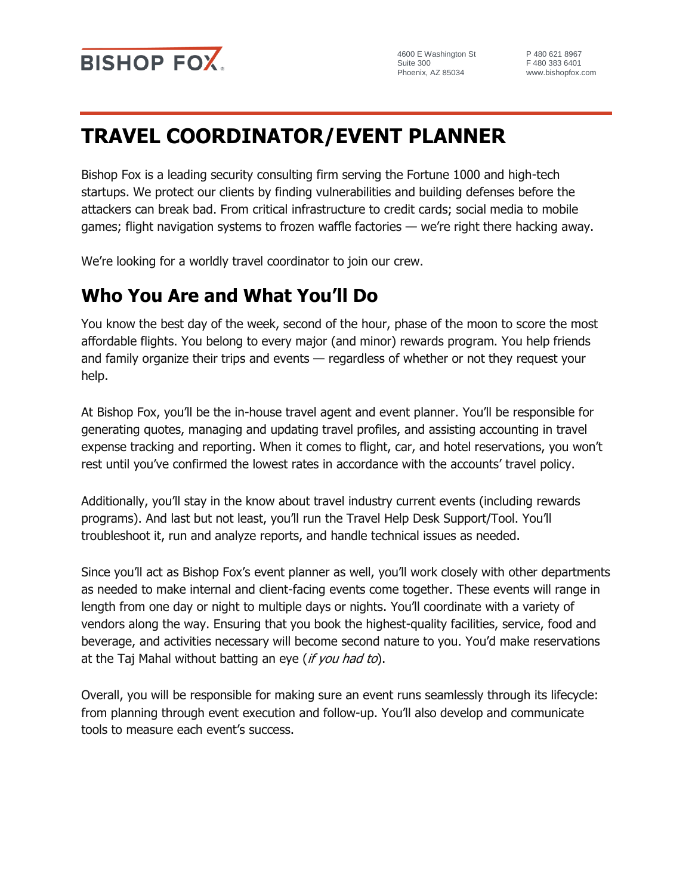

4600 E Washington St Suite 300 Phoenix, AZ 85034

P 480 621 8967 F 480 383 6401 www.bishopfox.com

# **TRAVEL COORDINATOR/EVENT PLANNER**

Bishop Fox is a leading security consulting firm serving the Fortune 1000 and high-tech startups. We protect our clients by finding vulnerabilities and building defenses before the attackers can break bad. From critical infrastructure to credit cards; social media to mobile games; flight navigation systems to frozen waffle factories — we're right there hacking away.

We're looking for a worldly travel coordinator to join our crew.

### **Who You Are and What You'll Do**

You know the best day of the week, second of the hour, phase of the moon to score the most affordable flights. You belong to every major (and minor) rewards program. You help friends and family organize their trips and events — regardless of whether or not they request your help.

At Bishop Fox, you'll be the in-house travel agent and event planner. You'll be responsible for generating quotes, managing and updating travel profiles, and assisting accounting in travel expense tracking and reporting. When it comes to flight, car, and hotel reservations, you won't rest until you've confirmed the lowest rates in accordance with the accounts' travel policy.

Additionally, you'll stay in the know about travel industry current events (including rewards programs). And last but not least, you'll run the Travel Help Desk Support/Tool. You'll troubleshoot it, run and analyze reports, and handle technical issues as needed.

Since you'll act as Bishop Fox's event planner as well, you'll work closely with other departments as needed to make internal and client-facing events come together. These events will range in length from one day or night to multiple days or nights. You'll coordinate with a variety of vendors along the way. Ensuring that you book the highest-quality facilities, service, food and beverage, and activities necessary will become second nature to you. You'd make reservations at the Taj Mahal without batting an eye (if you had to).

Overall, you will be responsible for making sure an event runs seamlessly through its lifecycle: from planning through event execution and follow-up. You'll also develop and communicate tools to measure each event's success.